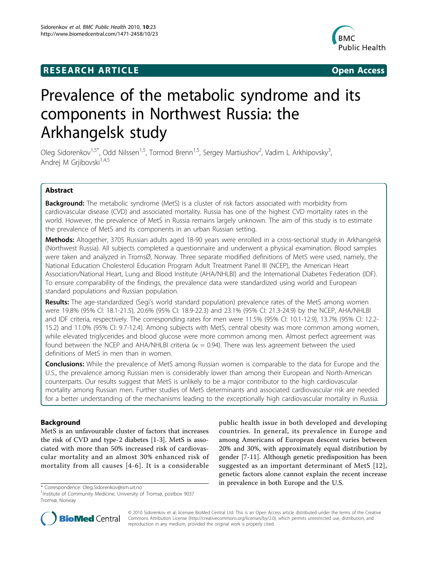## **RESEARCH ARTICLE Example 2018 12:00 Open Access**



# Prevalence of the metabolic syndrome and its components in Northwest Russia: the Arkhangelsk study

Oleg Sidorenkov<sup>1,5\*</sup>, Odd Nilssen<sup>1,5</sup>, Tormod Brenn<sup>1,5</sup>, Sergey Martiushov<sup>2</sup>, Vadim L Arkhipovsky<sup>3</sup> , Andrej M Grjibovski<sup>1,4,5</sup>

## Abstract

**Background:** The metabolic syndrome (MetS) is a cluster of risk factors associated with morbidity from cardiovascular disease (CVD) and associated mortality. Russia has one of the highest CVD mortality rates in the world. However, the prevalence of MetS in Russia remains largely unknown. The aim of this study is to estimate the prevalence of MetS and its components in an urban Russian setting.

Methods: Altogether, 3705 Russian adults aged 18-90 years were enrolled in a cross-sectional study in Arkhangelsk (Northwest Russia). All subjects completed a questionnaire and underwent a physical examination. Blood samples were taken and analyzed in TromsØ, Norway. Three separate modified definitions of MetS were used, namely, the National Education Cholesterol Education Program Adult Treatment Panel III (NCEP), the American Heart Association/National Heart, Lung and Blood Institute (AHA/NHLBI) and the International Diabetes Federation (IDF). To ensure comparability of the findings, the prevalence data were standardized using world and European standard populations and Russian population.

Results: The age-standardized (Segi's world standard population) prevalence rates of the MetS among women were 19.8% (95% CI: 18.1-21.5), 20.6% (95% CI: 18.9-22.3) and 23.1% (95% CI: 21.3-24.9) by the NCEP, AHA/NHLBI and IDF criteria, respectively. The corresponding rates for men were 11.5% (95% CI: 10.1-12.9), 13.7% (95% CI: 12.2- 15.2) and 11.0% (95% CI: 9.7-12.4). Among subjects with MetS, central obesity was more common among women, while elevated triglycerides and blood glucose were more common among men. Almost perfect agreement was found between the NCEP and AHA/NHLBI criteria ( $\kappa = 0.94$ ). There was less agreement between the used definitions of MetS in men than in women.

**Conclusions:** While the prevalence of MetS among Russian women is comparable to the data for Europe and the U.S., the prevalence among Russian men is considerably lower than among their European and North-American counterparts. Our results suggest that MetS is unlikely to be a major contributor to the high cardiovascular mortality among Russian men. Further studies of MetS determinants and associated cardiovascular risk are needed for a better understanding of the mechanisms leading to the exceptionally high cardiovascular mortality in Russia.

## Background

MetS is an unfavourable cluster of factors that increases the risk of CVD and type-2 diabetes [\[1](#page-7-0)-[3\]](#page-7-0). MetS is associated with more than 50% increased risk of cardiovascular mortality and an almost 30% enhanced risk of mortality from all causes [[4-6](#page-7-0)]. It is a considerable

public health issue in both developed and developing countries. In general, its prevalence in Europe and among Americans of European descent varies between 20% and 30%, with approximately equal distribution by gender [\[7](#page-7-0)-[11\]](#page-7-0). Although genetic predisposition has been suggested as an important determinant of MetS [[12](#page-8-0)], genetic factors alone cannot explain the recent increase in prevalence in both Europe and the U.S. \* Correspondence: [Oleg.Sidorenkov@ism.uit.no](mailto:Oleg.Sidorenkov@ism.uit.no)



© 2010 Sidorenkov et al; licensee BioMed Central Ltd. This is an Open Access article distributed under the terms of the Creative Commons Attribution License [\(http://creativecommons.org/licenses/by/2.0](http://creativecommons.org/licenses/by/2.0)), which permits unrestricted use, distribution, and reproduction in any medium, provided the original work is properly cited.

<sup>1</sup> Institute of Community Medicine, University of Tromsø, postbox 9037 Tromsø, Norway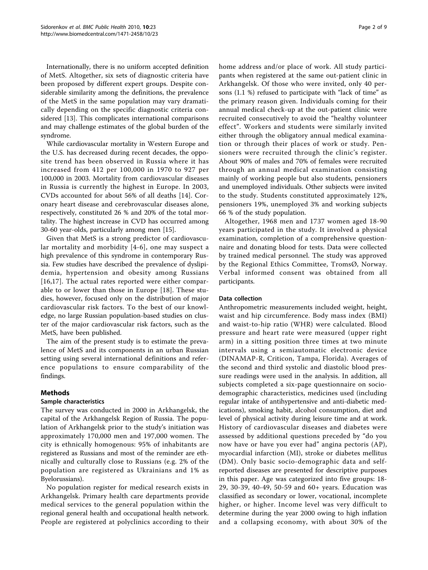Internationally, there is no uniform accepted definition of MetS. Altogether, six sets of diagnostic criteria have been proposed by different expert groups. Despite considerable similarity among the definitions, the prevalence of the MetS in the same population may vary dramatically depending on the specific diagnostic criteria considered [\[13](#page-8-0)]. This complicates international comparisons and may challenge estimates of the global burden of the syndrome.

While cardiovascular mortality in Western Europe and the U.S. has decreased during recent decades, the opposite trend has been observed in Russia where it has increased from 412 per 100,000 in 1970 to 927 per 100,000 in 2003. Mortality from cardiovascular diseases in Russia is currently the highest in Europe. In 2003, CVDs accounted for about 56% of all deaths [\[14](#page-8-0)]. Coronary heart disease and cerebrovascular diseases alone, respectively, constituted 26 % and 20% of the total mortality. The highest increase in CVD has occurred among 30-60 year-olds, particularly among men [[15\]](#page-8-0).

Given that MetS is a strong predictor of cardiovascular mortality and morbidity [[4-6\]](#page-7-0), one may suspect a high prevalence of this syndrome in contemporary Russia. Few studies have described the prevalence of dyslipidemia, hypertension and obesity among Russians [[16,17\]](#page-8-0). The actual rates reported were either comparable to or lower than those in Europe [\[18](#page-8-0)]. These studies, however, focused only on the distribution of major cardiovascular risk factors. To the best of our knowledge, no large Russian population-based studies on cluster of the major cardiovascular risk factors, such as the MetS, have been published.

The aim of the present study is to estimate the prevalence of MetS and its components in an urban Russian setting using several international definitions and reference populations to ensure comparability of the findings.

## Methods

## Sample characteristics

The survey was conducted in 2000 in Arkhangelsk, the capital of the Arkhangelsk Region of Russia. The population of Arkhangelsk prior to the study's initiation was approximately 170,000 men and 197,000 women. The city is ethnically homogenous: 95% of inhabitants are registered as Russians and most of the reminder are ethnically and culturally close to Russians (e.g. 2% of the population are registered as Ukrainians and 1% as Byelorussians).

No population register for medical research exists in Arkhangelsk. Primary health care departments provide medical services to the general population within the regional general health and occupational health network. People are registered at polyclinics according to their home address and/or place of work. All study participants when registered at the same out-patient clinic in Arkhangelsk. Of those who were invited, only 40 persons (1.1 %) refused to participate with "lack of time" as the primary reason given. Individuals coming for their annual medical check-up at the out-patient clinic were recruited consecutively to avoid the "healthy volunteer effect". Workers and students were similarly invited either through the obligatory annual medical examination or through their places of work or study. Pensioners were recruited through the clinic's register. About 90% of males and 70% of females were recruited through an annual medical examination consisting mainly of working people but also students, pensioners and unemployed individuals. Other subjects were invited to the study. Students constituted approximately 12%, pensioners 19%, unemployed 3% and working subjects 66 % of the study population.

Altogether, 1968 men and 1737 women aged 18-90 years participated in the study. It involved a physical examination, completion of a comprehensive questionnaire and donating blood for tests. Data were collected by trained medical personnel. The study was approved by the Regional Ethics Committee, TromsØ, Norway. Verbal informed consent was obtained from all participants.

## Data collection

Anthropometric measurements included weight, height, waist and hip circumference. Body mass index (BMI) and waist-to-hip ratio (WHR) were calculated. Blood pressure and heart rate were measured (upper right arm) in a sitting position three times at two minute intervals using a semiautomatic electronic device (DINAMAP-R, Criticon, Tampa, Florida). Averages of the second and third systolic and diastolic blood pressure readings were used in the analysis. In addition, all subjects completed a six-page questionnaire on sociodemographic characteristics, medicines used (including regular intake of antihypertensive and anti-diabetic medications), smoking habit, alcohol consumption, diet and level of physical activity during leisure time and at work. History of cardiovascular diseases and diabetes were assessed by additional questions preceded by "do you now have or have you ever had" angina pectoris (AP), myocardial infarction (MI), stroke or diabetes mellitus (DM). Only basic socio-demographic data and selfreported diseases are presented for descriptive purposes in this paper. Age was categorized into five groups: 18- 29, 30-39, 40-49, 50-59 and 60+ years. Education was classified as secondary or lower, vocational, incomplete higher, or higher. Income level was very difficult to determine during the year 2000 owing to high inflation and a collapsing economy, with about 30% of the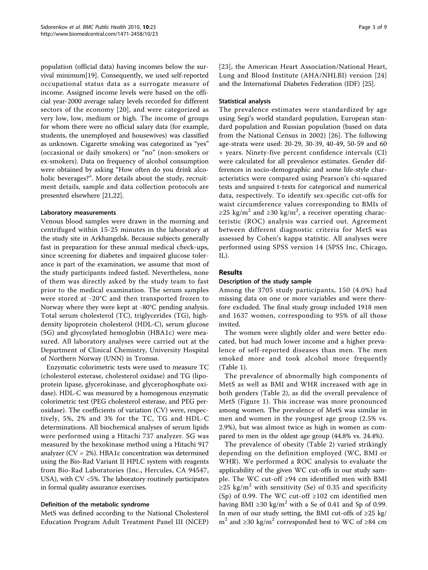population (official data) having incomes below the survival minimum[[19\]](#page-8-0). Consequently, we used self-reported occupational status data as a surrogate measure of income. Assigned income levels were based on the official year-2000 average salary levels recorded for different sectors of the economy [[20](#page-8-0)], and were categorized as very low, low, medium or high. The income of groups for whom there were no official salary data (for example, students, the unemployed and housewives) was classified as unknown. Cigarette smoking was categorized as "yes" (occasional or daily smokers) or "no" (non-smokers or ex-smokers). Data on frequency of alcohol consumption were obtained by asking "How often do you drink alcoholic beverages?". More details about the study, recruitment details, sample and data collection protocols are presented elsewhere [\[21,22](#page-8-0)].

## Laboratory measurements

Venous blood samples were drawn in the morning and centrifuged within 15-25 minutes in the laboratory at the study site in Arkhangelsk. Because subjects generally fast in preparation for these annual medical check-ups, since screening for diabetes and impaired glucose tolerance is part of the examination, we assume that most of the study participants indeed fasted. Nevertheless, none of them was directly asked by the study team to fast prior to the medical examination. The serum samples were stored at -20°C and then transported frozen to Norway where they were kept at -80°C pending analysis. Total serum cholesterol (TC), triglycerides (TG), highdensity lipoprotein cholesterol (HDL-C), serum glucose (SG) and glycosylated hemoglobin (HBA1c) were measured. All laboratory analyses were carried out at the Department of Clinical Chemistry, University Hospital of Northern Norway (UNN) in Tromsø.

Enzymatic colorimetric tests were used to measure TC (cholesterol esterase, cholesterol oxidase) and TG (lipoprotein lipase, glycerokinase, and glycerophosphate oxidase). HDL-C was measured by a homogenous enzymatic colorimetric test (PEG cholesterol esterase, and PEG peroxidase). The coefficients of variation (CV) were, respectively, 5%, 2% and 3% for the TC, TG and HDL-C determinations. All biochemical analyses of serum lipids were performed using a Hitachi 737 analyzer. SG was measured by the hexokinase method using a Hitachi 917 analyzer ( $CV = 2\%)$ . HBA1c concentration was determined using the Bio-Rad Variant II HPLC system with reagents from Bio-Rad Laboratories (Inc., Hercules, CA 94547, USA), with CV <5%. The laboratory routinely participates in formal quality assurance exercises.

#### Definition of the metabolic syndrome

MetS was defined according to the National Cholesterol Education Program Adult Treatment Panel III (NCEP) [[23](#page-8-0)], the American Heart Association/National Heart, Lung and Blood Institute (AHA/NHLBI) version [[24](#page-8-0)] and the International Diabetes Federation (IDF) [[25](#page-8-0)].

#### Statistical analysis

The prevalence estimates were standardized by age using Segi's world standard population, European standard population and Russian population (based on data from the National Census in 2002) [[26\]](#page-8-0). The following age-strata were used: 20-29, 30-39, 40-49, 50-59 and 60 + years. Ninety-five percent confidence intervals (CI) were calculated for all prevalence estimates. Gender differences in socio-demographic and some life-style characteristics were compared using Pearson's chi-squared tests and unpaired t-tests for categorical and numerical data, respectively. To identify sex-specific cut-offs for waist circumference values corresponding to BMIs of ≥25 kg/m<sup>2</sup> and ≥30 kg/m<sup>2</sup>, a receiver operating characteristic (ROC) analysis was carried out. Agreement between different diagnostic criteria for MetS was assessed by Cohen's kappa statistic. All analyses were performed using SPSS version 14 (SPSS Inc, Chicago, IL).

## Results

#### Description of the study sample

Among the 3705 study participants, 150 (4.0%) had missing data on one or more variables and were therefore excluded. The final study group included 1918 men and 1637 women, corresponding to 95% of all those invited.

The women were slightly older and were better educated, but had much lower income and a higher prevalence of self-reported diseases than men. The men smoked more and took alcohol more frequently (Table [1\)](#page-3-0).

The prevalence of abnormally high components of MetS as well as BMI and WHR increased with age in both genders (Table [2\)](#page-4-0), as did the overall prevalence of MetS (Figure [1\)](#page-4-0). This increase was more pronounced among women. The prevalence of MetS was similar in men and women in the youngest age group (2.5% vs. 2.9%), but was almost twice as high in women as compared to men in the oldest age group (44.8% vs. 24.4%).

The prevalence of obesity (Table [2\)](#page-4-0) varied strikingly depending on the definition employed (WC, BMI or WHR). We performed a ROC analysis to evaluate the applicability of the given WC cut-offs in our study sample. The WC cut-off ≥94 cm identified men with BMI ≥25 kg/m<sup>2</sup> with sensitivity (Se) of 0.35 and specificity (Sp) of 0.99. The WC cut-off  $\geq 102$  cm identified men having BMI ≥30 kg/m<sup>2</sup> with a Se of 0.41 and Sp of 0.99. In men of our study setting, the BMI cut-offs of ≥25 kg/ m<sup>2</sup> and ≥30 kg/m<sup>2</sup> corresponded best to WC of ≥84 cm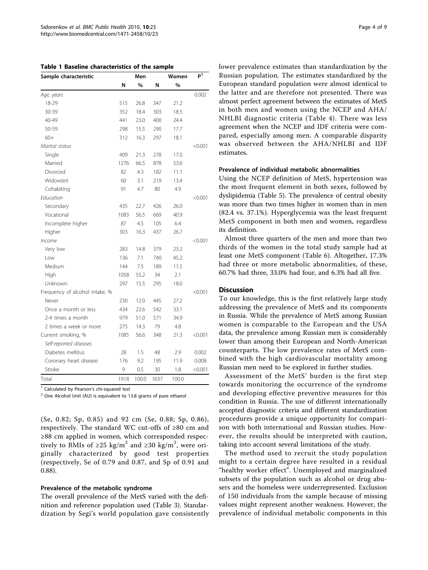<span id="page-3-0"></span>Table 1 Baseline characteristics of the sample

| Sample characteristic          |      | Men   |      | Women | $P^{\overline{1}}$ |
|--------------------------------|------|-------|------|-------|--------------------|
|                                | N    | %     | N    | $\%$  |                    |
| Age, years                     |      |       |      |       | 0.002              |
| 18-29                          | 515  | 26.8  | 347  | 21.2  |                    |
| 30-39                          | 352  | 18.4  | 303  | 18.5  |                    |
| 40-49                          | 441  | 23.0  | 400  | 24.4  |                    |
| 50-59                          | 298  | 15.5  | 290  | 17.7  |                    |
| $60+$                          | 312  | 16.3  | 297  | 18.1  |                    |
| Marital status                 |      |       |      |       | < 0.001            |
| Single                         | 409  | 21.3  | 278  | 17.0  |                    |
| Married                        | 1276 | 66.5  | 878  | 53.6  |                    |
| Divorced                       | 82   | 4.3   | 182  | 11.1  |                    |
| Widow(er)                      | 60   | 3.1   | 219  | 13.4  |                    |
| Cohabiting                     | 91   | 4.7   | 80   | 4.9   |                    |
| Education                      |      |       |      |       | < 0.001            |
| Secondary                      | 435  | 22.7  | 426  | 26.0  |                    |
| Vocational                     | 1083 | 56.5  | 669  | 40.9  |                    |
| Incomplete higher              | 87   | 4.5   | 105  | 6.4   |                    |
| Higher                         | 303  | 16.3  | 437  | 26.7  |                    |
| <i>Income</i>                  |      |       |      |       | < 0.001            |
| Very low                       | 283  | 14.8  | 379  | 23.2  |                    |
| Low                            | 136  | 7.1   | 740  | 45.2  |                    |
| Medium                         | 144  | 7.5   | 189  | 11.5  |                    |
| High                           | 1058 | 55.2  | 34   | 2.1   |                    |
| Unknown                        | 297  | 15.5  | 295  | 18.0  |                    |
| Frequency of alcohol intake, % |      |       |      |       | < 0.001            |
| Never                          | 230  | 12.0  | 445  | 27.2  |                    |
| Once a month or less           | 434  | 22.6  | 542  | 33.1  |                    |
| 2-4 times a month              | 979  | 51.0  | 571  | 34.9  |                    |
| 2 times a week or more         | 275  | 14.3  | 79   | 4.8   |                    |
| Current smoking, %             | 1085 | 56.6  | 348  | 21.3  | < 0.001            |
| Self-reported diseases         |      |       |      |       |                    |
| Diabetes mellitus              | 28   | 1.5   | 48   | 2.9   | 0.002              |
| Coronary heart disease         | 176  | 9.2   | 195  | 11.9  | 0.008              |
| Stroke                         | 9    | 0.5   | 30   | 1.8   | < 0.001            |
| Total                          | 1918 | 100.0 | 1637 | 100.0 |                    |

<sup>1</sup> Calculated by Pearson's chi-squared test

<sup>2</sup> One Alcohol Unit (AU) is equivalent to 13.8 grams of pure ethanol

(Se, 0.82; Sp, 0.85) and 92 cm (Se, 0.88; Sp, 0.86), respectively. The standard WC cut-offs of ≥80 cm and ≥88 cm applied in women, which corresponded respectively to BMIs of ≥25 kg/m<sup>2</sup> and ≥30 kg/m<sup>2</sup>, were originally characterized by good test properties (respectively, Se of 0.79 and 0.87, and Sp of 0.91 and 0.88).

#### Prevalence of the metabolic syndrome

The overall prevalence of the MetS varied with the definition and reference population used (Table [3](#page-5-0)). Standardization by Segi's world population gave consistently Page 4 of 9

lower prevalence estimates than standardization by the Russian population. The estimates standardized by the European standard population were almost identical to the latter and are therefore not presented. There was almost perfect agreement between the estimates of MetS in both men and women using the NCEP and AHA/ NHLBI diagnostic criteria (Table [4\)](#page-5-0). There was less agreement when the NCEP and IDF criteria were compared, especially among men. A comparable disparity was observed between the AHA/NHLBI and IDF estimates.

## Prevalence of individual metabolic abnormalities

Using the NCEP definition of MetS, hypertension was the most frequent element in both sexes, followed by dyslipidemia (Table [5](#page-6-0)). The prevalence of central obesity was more than two times higher in women than in men (82.4 vs. 37.1%). Hyperglycemia was the least frequent MetS component in both men and women, regardless its definition.

Almost three quarters of the men and more than two thirds of the women in the total study sample had at least one MetS component (Table [6\)](#page-6-0). Altogether, 17.3% had three or more metabolic abnormalities, of these, 60.7% had three, 33.0% had four, and 6.3% had all five.

#### **Discussion**

To our knowledge, this is the first relatively large study addressing the prevalence of MetS and its components in Russia. While the prevalence of MetS among Russian women is comparable to the European and the USA data, the prevalence among Russian men is considerably lower than among their European and North-American counterparts. The low prevalence rates of MetS combined with the high cardiovascular mortality among Russian men need to be explored in further studies.

Assessment of the MetS' burden is the first step towards monitoring the occurrence of the syndrome and developing effective preventive measures for this condition in Russia. The use of different internationally accepted diagnostic criteria and different standardization procedures provide a unique opportunity for comparison with both international and Russian studies. However, the results should be interpreted with caution, taking into account several limitations of the study.

The method used to recruit the study population might to a certain degree have resulted in a residual "healthy worker effect". Unemployed and marginalized subsets of the population such as alcohol or drug abusers and the homeless were underrepresented. Exclusion of 150 individuals from the sample because of missing values might represent another weakness. However, the prevalence of individual metabolic components in this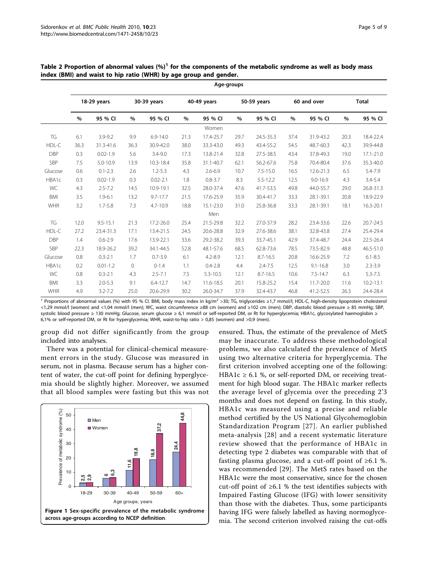|            | Age-groups  |              |                |               |      |              |      |              |             |              |              |               |
|------------|-------------|--------------|----------------|---------------|------|--------------|------|--------------|-------------|--------------|--------------|---------------|
|            | 18-29 years |              | 30-39 years    |               |      | 40-49 years  |      | 50-59 years  | 60 and over |              | <b>Total</b> |               |
|            | $\%$        | 95 % CI      | %              | 95 % CI       | $\%$ | 95 % CI      | $\%$ | 95 % CI      | $\%$        | 95 % CI      | %            | 95 % CI       |
|            |             |              |                |               |      | Women        |      |              |             |              |              |               |
| TG         | 6.1         | $3.9 - 9.2$  | 9.9            | $6.9 - 14.0$  | 21.3 | 17.4-25.7    | 29.7 | 24.5-35.3    | 37.4        | 31.9-43.2    | 20.3         | 18.4-22.4     |
| HDL-C      | 36.3        | 31.3-41.6    | 36.3           | 30.9-42.0     | 38.0 | 33.3-43.0    | 49.3 | 43.4-55.2    | 54.5        | 48.7-60.3    | 42.3         | 39.9-44.8     |
| <b>DBP</b> | 0.3         | $0.02 - 1.9$ | 5.6            | $3.4 - 9.0$   | 17.3 | 13.8-21.4    | 32.8 | 27.5-38.5    | 43.4        | 37.8-49.3    | 19.0         | 17.1-21.0     |
| SBP        | 7.5         | $5.0 - 10.9$ | 13.9           | $10.3 - 18.4$ | 35.8 | 31.1-40.7    | 62.1 | 56.2-67.6    | 75.8        | 70.4-80.4    | 37.6         | 35.3-40.0     |
| Glucose    | 0.6         | $0.1 - 2.3$  | 2.6            | $1.2 - 5.3$   | 4.3  | $2.6 - 6.9$  | 10.7 | $7.5 - 15.0$ | 16.5        | 12.6-21.3    | 6.5          | 5.4-7.9       |
| HBA1c      | 0.3         | $0.02 - 1.9$ | 0.3            | $0.02 - 2.1$  | 1.8  | $0.8 - 3.7$  | 8.3  | $5.5 - 12.2$ | 12.5        | $9.0 - 16.9$ | 4.3          | $3.4 - 5.4$   |
| WC         | 4.3         | $2.5 - 7.2$  | 14.5           | 10.9-19.1     | 32.5 | 28.0-37.4    | 47.6 | 41.7-53.5    | 49.8        | 44.0-55.7    | 29.0         | 26.8-31.3     |
| <b>BMI</b> | 3.5         | $1.9 - 6.1$  | 13.2           | $9.7 - 17.7$  | 21.5 | 17.6-25.9    | 35.9 | 30.4-41.7    | 33.3        | 28.1-39.1    | 20.8         | 18.9-22.9     |
| <b>WHR</b> | 3.2         | $1.7 - 5.8$  | 7.3            | 4.7-10.9      | 18.8 | 15.1-23.0    | 31.0 | 25.8-36.8    | 33.3        | 28.1-39.1    | 18.1         | 16.3-20.1     |
|            |             |              |                |               |      | Men          |      |              |             |              |              |               |
| TG         | 12.0        | $9.5 - 15.1$ | 21.3           | 17.2-26.0     | 25.4 | 21.5-29.8    | 32.2 | 27.0-37.9    | 28.2        | 23.4-33.6    | 22.6         | 20.7-24.5     |
| HDL-C      | 27.2        | 23.4-31.3    | 17.1           | 13.4-21.5     | 24.5 | 20.6-28.8    | 32.9 | 27.6-38.6    | 38.1        | 32.8-43.8    | 27.4         | 25.4-29.4     |
| <b>DBP</b> | 1.4         | $0.6 - 2.9$  | 17.6           | 13.9-22.1     | 33.6 | 29.2-38.2    | 39.3 | 33.7-45.1    | 42.9        | 37.4-48.7    | 24.4         | 22.5-26.4     |
| SBP        | 22.3        | 18.9-26.2    | 39.2           | 34.1-44.5     | 52.8 | 48.1-57.6    | 68.5 | 62.8-73.6    | 78.5        | 73.5-82.9    | 48.8         | 46.5-51.0     |
| Glucose    | 0.8         | $0.3 - 2.1$  | 1.7            | $0.7 - 3.9$   | 6.1  | $4.2 - 8.9$  | 12.1 | $8.7 - 16.5$ | 20.8        | 16.6-25.9    | 7.2          | $6.1 - 8.5$   |
| HBA1c      | 0.2         | $0.01 - 1.2$ | $\overline{0}$ | $0 - 1.4$     | 1.1  | $0.4 - 2.8$  | 4.4  | $2.4 - 7.5$  | 12.5        | $9.1 - 16.8$ | 3.0          | $2.3 - 3.9$   |
| WC         | 0.8         | $0.3 - 2.1$  | 4.3            | $2.5 - 7.1$   | 7.5  | $5.3 - 10.5$ | 12.1 | $8.7 - 16.5$ | 10.6        | $7.5 - 14.7$ | 6.3          | $5.3 - 7.5$   |
| <b>BMI</b> | 3.3         | $2.0 - 5.3$  | 9.1            | $6.4 - 12.7$  | 14.7 | 11.6-18.5    | 20.1 | 15.8-25.2    | 15.4        | 11.7-20.0    | 11.6         | $10.2 - 13.1$ |
| <b>WHR</b> | 4.9         | $3.2 - 7.2$  | 25.0           | 20.6-29.9     | 30.2 | 26.0-34.7    | 37.9 | 32.4-43.7    | 46.8        | 41.2-52.5    | 26.3         | 24.4-28.4     |

<span id="page-4-0"></span>Table 2 Proportion of abnormal values  $(\%)^1$  for the components of the metabolic syndrome as well as body mass index (BMI) and waist to hip ratio (WHR) by age group and gender.

<sup>1</sup> Proportions of abnormal values (%) with 95 % CI. BMI, body mass index in kg/m<sup>2</sup> >30; TG, triglycerides ≥1,7 mmol/l; HDL-C, high-density lipoprotein cholesterol <1,29 mmol/l (women) and <1,04 mmol/l (men); WC, waist circumference ≥88 cm (women) and ≥102 cm (men); DBP, diastolic blood pressure ≥ 85 mmHg; SBP, systolic blood pressure ≥ 130 mmHg; Glucose, serum glucose ≥ 6,1 mmol/l or self-reported DM, or Rt for hyperglycemia; HBA1c, glycosylated haemoglobin ≥ 6,1% or self-reported DM, or Rt for hyperglycemia; WHR, waist-to-hip ratio > 0,85 (women) and >0,9 (men).

group did not differ significantly from the group included into analyses.

There was a potential for clinical-chemical measurement errors in the study. Glucose was measured in serum, not in plasma. Because serum has a higher content of water, the cut-off point for defining hyperglycemia should be slightly higher. Moreover, we assumed that all blood samples were fasting but this was not



ensured. Thus, the estimate of the prevalence of MetS may be inaccurate. To address these methodological problems, we also calculated the prevalence of MetS using two alternative criteria for hyperglycemia. The first criterion involved accepting one of the following: HBA1c  $\geq$  6.1 %, or self-reported DM, or receiving treatment for high blood sugar. The HBA1c marker reflects the average level of glycemia over the preceding 2'3 months and does not depend on fasting. In this study, HBA1c was measured using a precise and reliable method certified by the US National Glycohemoglobin Standardization Program [[27\]](#page-8-0). An earlier published meta-analysis [[28](#page-8-0)] and a recent systematic literature review showed that the performance of HBA1c in detecting type 2 diabetes was comparable with that of fasting plasma glucose, and a cut-off point of  $\geq 6.1$  %. was recommended [\[29\]](#page-8-0). The MetS rates based on the HBA1c were the most conservative, since for the chosen cut-off point of  $\geq 6.1$  % the test identifies subjects with Impaired Fasting Glucose (IFG) with lower sensitivity than those with the diabetes. Thus, some participants having IFG were falsely labelled as having normoglycemia. The second criterion involved raising the cut-offs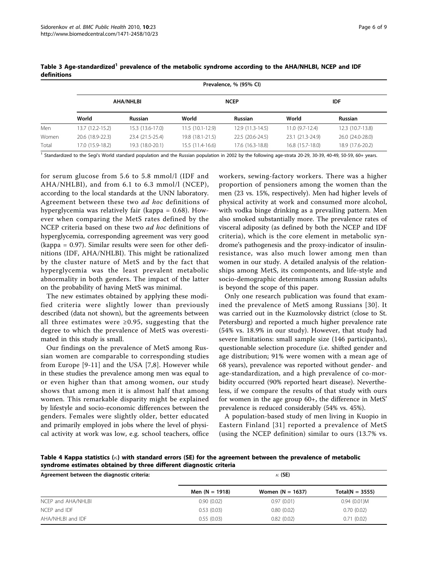|       |                  | Prevalence, % (95% CI) |                   |                  |                  |                  |  |  |  |  |
|-------|------------------|------------------------|-------------------|------------------|------------------|------------------|--|--|--|--|
|       |                  | <b>AHA/NHLBI</b>       |                   | <b>NCEP</b>      | IDF              |                  |  |  |  |  |
|       | World            | <b>Russian</b>         | World             | <b>Russian</b>   | World            | <b>Russian</b>   |  |  |  |  |
| Men   | 13.7 (12.2-15.2) | 15.3 (13.6-17.0)       | $11.5(10.1-12.9)$ | 12.9 (11.3-14.5) | $11.0(9.7-12.4)$ | 12.3 (10.7-13.8) |  |  |  |  |
| Women | 20.6 (18.9-22.3) | 23.4 (21.5-25.4)       | 19.8 (18.1-21.5)  | 22.5 (20.6-24.5) | 23.1 (21.3-24.9) | 26.0 (24.0-28.0) |  |  |  |  |
| Total | 17.0 (15.9-18.2) | 19.3 (18.0-20.1)       | 15.5 (11.4-16.6)  | 17.6 (16.3-18.8) | 16.8 (15.7-18.0) | 18.9 (17.6-20.2) |  |  |  |  |

<span id="page-5-0"></span>Table 3 Age-standardized<sup>1</sup> prevalence of the metabolic syndrome according to the AHA/NHLBI, NCEP and IDF definitions

<sup>1</sup> Standardized to the Segi's World standard population and the Russian population in 2002 by the following age-strata 20-29, 30-39, 40-49, 50-59, 60+ years.

for serum glucose from 5.6 to 5.8 mmol/l (IDF and AHA/NHLBI), and from 6.1 to 6.3 mmol/l (NCEP), according to the local standards at the UNN laboratory. Agreement between these two ad hoc definitions of hyperglycemia was relatively fair (kappa = 0.68). However when comparing the MetS rates defined by the NCEP criteria based on these two ad hoc definitions of hyperglycemia, corresponding agreement was very good (kappa = 0.97). Similar results were seen for other definitions (IDF, AHA/NHLBI). This might be rationalized by the cluster nature of MetS and by the fact that hyperglycemia was the least prevalent metabolic abnormality in both genders. The impact of the latter on the probability of having MetS was minimal.

The new estimates obtained by applying these modified criteria were slightly lower than previously described (data not shown), but the agreements between all three estimates were ≥0.95, suggesting that the degree to which the prevalence of MetS was overestimated in this study is small.

Our findings on the prevalence of MetS among Russian women are comparable to corresponding studies from Europe [[9-11\]](#page-7-0) and the USA [[7,8](#page-7-0)]. However while in these studies the prevalence among men was equal to or even higher than that among women, our study shows that among men it is almost half that among women. This remarkable disparity might be explained by lifestyle and socio-economic differences between the genders. Females were slightly older, better educated and primarily employed in jobs where the level of physical activity at work was low, e.g. school teachers, office

workers, sewing-factory workers. There was a higher proportion of pensioners among the women than the men (23 vs. 15%, respectively). Men had higher levels of physical activity at work and consumed more alcohol, with vodka binge drinking as a prevailing pattern. Men also smoked substantially more. The prevalence rates of visceral adiposity (as defined by both the NCEP and IDF criteria), which is the core element in metabolic syndrome's pathogenesis and the proxy-indicator of insulinresistance, was also much lower among men than women in our study. A detailed analysis of the relationships among MetS, its components, and life-style and socio-demographic determinants among Russian adults is beyond the scope of this paper.

Only one research publication was found that examined the prevalence of MetS among Russians [[30](#page-8-0)]. It was carried out in the Kuzmolovsky district (close to St. Petersburg) and reported a much higher prevalence rate (54% vs. 18.9% in our study). However, that study had severe limitations: small sample size (146 participants), questionable selection procedure (i.e. shifted gender and age distribution; 91% were women with a mean age of 68 years), prevalence was reported without gender- and age-standardization, and a high prevalence of co-morbidity occurred (90% reported heart disease). Nevertheless, if we compare the results of that study with ours for women in the age group 60+, the difference in MetS' prevalence is reduced considerably (54% vs. 45%).

A population-based study of men living in Kuopio in Eastern Finland [[31\]](#page-8-0) reported a prevalence of MetS (using the NCEP definition) similar to ours (13.7% vs.

Table 4 Kappa statistics  $(\kappa)$  with standard errors (SE) for the agreement between the prevalence of metabolic syndrome estimates obtained by three different diagnostic criteria

| Agreement between the diagnostic criteria: | $\kappa$ (SE)    |                    |                   |  |  |  |  |
|--------------------------------------------|------------------|--------------------|-------------------|--|--|--|--|
|                                            | Men $(N = 1918)$ | Women $(N = 1637)$ | $Total(N = 3555)$ |  |  |  |  |
| NCEP and AHA/NHLBI                         | 0.90(0.02)       | 0.97(0.01)         | 0.94(0.01)M       |  |  |  |  |
| NCFP and IDF                               | 0.53(0.03)       | 0.80(0.02)         | 0.70(0.02)        |  |  |  |  |
| AHA/NHLBI and IDF                          | 0.55(0.03)       | 0.82(0.02)         | 0.71(0.02)        |  |  |  |  |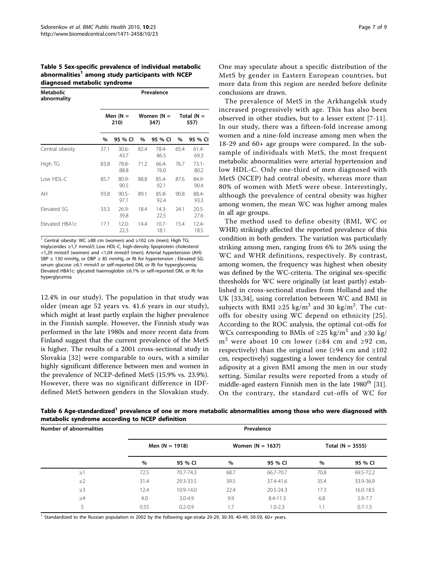<span id="page-6-0"></span>Table 5 Sex-specific prevalence of individual metabolic abnormalities<sup>1</sup> among study participants with NCEP diagnosed metabolic syndrome

| <b>Metabolic</b><br>abnormality | Prevalence         |                  |      |                      |                      |                  |  |  |  |
|---------------------------------|--------------------|------------------|------|----------------------|----------------------|------------------|--|--|--|
|                                 | Men $(N =$<br>210) |                  |      | Women $(N =$<br>347) | Total $(N =$<br>557) |                  |  |  |  |
|                                 | $\%$               | 95 % CI          | %    | 95 % CI              | %                    | 95 % CI          |  |  |  |
| Central obesity                 | 37.1               | $30.6 -$<br>43.7 | 82.4 | 78.4-<br>86.5        | 65.4                 | $61.4 -$<br>69.3 |  |  |  |
| High TG                         | 83.8               | 78.8-<br>88.8    | 71.2 | 66.4-<br>76.0        | 76.7                 | $73.1 -$<br>80.2 |  |  |  |
| Low HDL-C                       | 85.7               | $80.9 -$<br>90.5 | 88.8 | $85.4 -$<br>92.1     | 87.6                 | 84.9-<br>90.4    |  |  |  |
| AH                              | 93.8               | $90.5 -$<br>97.1 | 89.1 | $85.8 -$<br>92.4     | 90.8                 | 88.4-<br>93.3    |  |  |  |
| Elevated SG                     | 33.3               | $26.9 -$<br>39.8 | 18.4 | $14.3 -$<br>22.5     | 24.1                 | $20.5 -$<br>27.6 |  |  |  |
| Elevated HBA1c                  | 17.1               | $12.0 -$<br>22.3 | 14.4 | $10.7 -$<br>18.1     | 15.4                 | $12.4 -$<br>18.5 |  |  |  |

<sup>1</sup> Central obesity: WC ≥88 cm (women) and ≥102 cm (men); High TG: triglycerides ≥1,7 mmol/l; Low HDL-C, high-density lipoprotein cholesterol <1,29 mmol/l (women) and <1,04 mmol/l (men); Arterial hypertension (AH): SBP ≥ 130 mmHg, or DBP ≥ 85 mmHg, or Rt for hypertension ; Elevated SG: serum glucose ≥6.1 mmol/l or self-reported DM, or Rt for hyperglycemia: Elevated HBA1c: glycated haemoglobin ≥6.1% or self-reported DM, or Rt for hyperglycemia

12.4% in our study). The population in that study was older (mean age 52 years vs. 41.6 years in our study), which might at least partly explain the higher prevalence in the Finnish sample. However, the Finnish study was performed in the late 1980s and more recent data from Finland suggest that the current prevalence of the MetS is higher. The results of a 2001 cross-sectional study in Slovakia [[32](#page-8-0)] were comparable to ours, with a similar highly significant difference between men and women in the prevalence of NCEP-defined MetS (15.9% vs. 23.9%). However, there was no significant difference in IDFdefined MetS between genders in the Slovakian study.

One may speculate about a specific distribution of the MetS by gender in Eastern European countries, but more data from this region are needed before definite conclusions are drawn.

The prevalence of MetS in the Arkhangelsk study increased progressively with age. This has also been observed in other studies, but to a lesser extent [\[7](#page-7-0)-[11](#page-7-0)]. In our study, there was a fifteen-fold increase among women and a nine-fold increase among men when the 18-29 and 60+ age groups were compared. In the subsample of individuals with MetS, the most frequent metabolic abnormalities were arterial hypertension and low HDL-C. Only one-third of men diagnosed with MetS (NCEP) had central obesity, whereas more than 80% of women with MetS were obese. Interestingly, although the prevalence of central obesity was higher among women, the mean WC was higher among males in all age groups.

The method used to define obesity (BMI, WC or WHR) strikingly affected the reported prevalence of this condition in both genders. The variation was particularly striking among men, ranging from 6% to 26% using the WC and WHR definitions, respectively. By contrast, among women, the frequency was highest when obesity was defined by the WC-criteria. The original sex-specific thresholds for WC were originally (at least partly) established in cross-sectional studies from Holland and the UK [\[33](#page-8-0),[34\]](#page-8-0), using correlation between WC and BMI in subjects with BMI ≥25 kg/m<sup>2</sup> and 30 kg/m<sup>2</sup>. The cutoffs for obesity using WC depend on ethnicity [[25\]](#page-8-0). According to the ROC analysis, the optimal cut-offs for WCs corresponding to BMIs of  $\geq 25$  kg/m<sup>2</sup> and  $\geq 30$  kg/ m<sup>2</sup> were about 10 cm lower ( $\geq 84$  cm and  $\geq 92$  cm, respectively) than the original one ( $\geq$ 94 cm and  $\geq$ 102 cm, respectively) suggesting a lower tendency for central adiposity at a given BMI among the men in our study setting. Similar results were reported from a study of middle-aged eastern Finnish men in the late  $1980<sup>th</sup>$  [\[31](#page-8-0)]. On the contrary, the standard cut-offs of WC for

Table 6 Age-standardized<sup>1</sup> prevalence of one or more metabolic abnormalities among those who were diagnosed with metabolic syndrome according to NCEP definition

| Number of abnormalities | Prevalence |                  |                    |               |                    |             |  |  |  |
|-------------------------|------------|------------------|--------------------|---------------|--------------------|-------------|--|--|--|
|                         |            | Men $(N = 1918)$ | Women $(N = 1637)$ |               | Total $(N = 3555)$ |             |  |  |  |
|                         | $\%$       | 95 % CI          | $\%$               | 95 % CI       | $\%$               | 95 % CI     |  |  |  |
| $\geq$ 1                | 72.5       | 70.7-74.3        | 68.7               | 66.7-70.7     | 70.8               | 69.5-72.2   |  |  |  |
| $\geq$ 2                | 31.4       | 29.3-33.5        | 39.5               | 37.4-41.6     | 35.4               | 33.9-36.9   |  |  |  |
| $\geq$ 3                | 12.4       | 10.9-14.0        | 22.4               | $20.5 - 24.3$ | 17.3               | 16.0-18.5   |  |  |  |
| $\geq 4$                | 4.0        | $3.0 - 4.9$      | 9.9                | $8.4 - 11.3$  | 6.8                | 5.9-7.7     |  |  |  |
|                         | 0.55       | $0.2 - 0.9$      | 1.7                | $1.0 - 2.3$   | 1.1                | $0.7 - 1.5$ |  |  |  |
|                         |            |                  |                    |               |                    |             |  |  |  |

<sup>1</sup> Standardized to the Russian population in 2002 by the following age-strata 20-29, 30-39, 40-49, 50-59, 60+ years.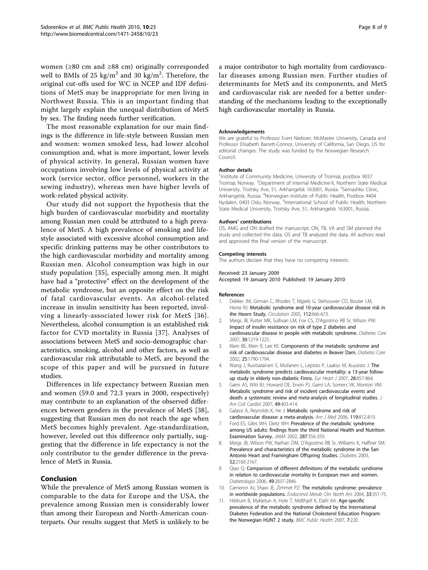<span id="page-7-0"></span>women (≥80 cm and ≥88 cm) originally corresponded well to BMIs of 25 kg/m<sup>2</sup> and 30 kg/m<sup>2</sup>. Therefore, the original cut-offs used for WC in NCEP and IDF definitions of MetS may be inappropriate for men living in Northwest Russia. This is an important finding that might largely explain the unequal distribution of MetS by sex. The finding needs further verification.

The most reasonable explanation for our main findings is the difference in life-style between Russian men and women: women smoked less, had lower alcohol consumption and, what is more important, lower levels of physical activity. In general, Russian women have occupations involving low levels of physical activity at work (service sector, office personnel, workers in the sewing industry), whereas men have higher levels of work-related physical activity.

Our study did not support the hypothesis that the high burden of cardiovascular morbidity and mortality among Russian men could be attributed to a high prevalence of MetS. A high prevalence of smoking and lifestyle associated with excessive alcohol consumption and specific drinking patterns may be other contributors to the high cardiovascular morbidity and mortality among Russian men. Alcohol consumption was high in our study population [[35\]](#page-8-0), especially among men. It might have had a "protective" effect on the development of the metabolic syndrome, but an opposite effect on the risk of fatal cardiovascular events. An alcohol-related increase in insulin sensitivity has been reported, involving a linearly-associated lower risk for MetS [[36\]](#page-8-0). Nevertheless, alcohol consumption is an established risk factor for CVD mortality in Russia [[37](#page-8-0)]. Analyses of associations between MetS and socio-demographic characteristics, smoking, alcohol and other factors, as well as cardiovascular risk attributable to MetS, are beyond the scope of this paper and will be pursued in future studies.

Differences in life expectancy between Russian men and women (59.0 and 72.3 years in 2000, respectively) may contribute to an explanation of the observed differences between genders in the prevalence of MetS [[38](#page-8-0)], suggesting that Russian men do not reach the age when MetS becomes highly prevalent. Age-standardization, however, leveled out this difference only partially, suggesting that the difference in life expectancy is not the only contributor to the gender difference in the prevalence of MetS in Russia.

#### Conclusion

While the prevalence of MetS among Russian women is comparable to the data for Europe and the USA, the prevalence among Russian men is considerably lower than among their European and North-American counterparts. Our results suggest that MetS is unlikely to be a major contributor to high mortality from cardiovascular diseases among Russian men. Further studies of determinants for MetS and its components, and MetS and cardiovascular risk are needed for a better understanding of the mechanisms leading to the exceptionally high cardiovascular mortality in Russia.

#### Acknowledgements

We are grateful to Professor Evert Nieboer, McMaster University, Canada and Professor Elisabeth Barrett-Connor, University of California, San Diego, US for editorial changes. The study was funded by the Norwegian Research Council.

#### Author details

1 Institute of Community Medicine, University of Tromsø, postbox 9037 Tromsø, Norway. <sup>2</sup>Department of Internal Medicine-II, Northern State Medical University, Troitsky Ave, 51, Arkhangelsk 163001, Russia. <sup>3</sup>Semashko Clinic, Arkhangelsk, Russia. <sup>4</sup>Norwegian Institute of Public Health, Postbox 4404 Nydalen, 0403 Oslo, Norway. <sup>5</sup>International School of Public Health, Northern State Medical University, Troitsky Ave, 51, Arkhangelsk 163001, Russia.

#### Authors' contributions

OS, AMG and ON drafted the manuscript. ON, TB, VA and SM planned the study and collected the data. OS and TB analyzed the data. All authors read and approved the final version of the manuscript.

#### Competing interests

The authors declare that they have no competing interests.

#### Received: 23 January 2009

Accepted: 19 January 2010 Published: 19 January 2010

#### References

- 1. Dekker JM, Girman C, Rhodes T, Nijpels G, Stehouwer CD, Bouter LM, Heine RJ: [Metabolic syndrome and 10-year cardiovascular disease risk in](http://www.ncbi.nlm.nih.gov/pubmed/16061755?dopt=Abstract) [the Hoorn Study.](http://www.ncbi.nlm.nih.gov/pubmed/16061755?dopt=Abstract) Circulation 2005, 112:666-673.
- 2. Meigs JB, Rutter MK, Sullivan LM, Fox CS, D'Agostino RB Sr, Wilson PW: [Impact of insulin resistance on risk of type 2 diabetes and](http://www.ncbi.nlm.nih.gov/pubmed/17259468?dopt=Abstract) [cardiovascular disease in people with metabolic syndrome.](http://www.ncbi.nlm.nih.gov/pubmed/17259468?dopt=Abstract) Diabetes Care 2007, 30:1219-1225.
- 3. Klein BE, Klein R, Lee KE: [Components of the metabolic syndrome and](http://www.ncbi.nlm.nih.gov/pubmed/12351479?dopt=Abstract) [risk of cardiovascular disease and diabetes in Beaver Dam.](http://www.ncbi.nlm.nih.gov/pubmed/12351479?dopt=Abstract) Diabetes Care 2002, 25:1790-1794.
- 4. Wang J, Ruotsalainen S, Moilanen L, Lepisto P, Laakso M, Kuusisto J: [The](http://www.ncbi.nlm.nih.gov/pubmed/17303589?dopt=Abstract) [metabolic syndrome predicts cardiovascular mortality: a 13-year follow](http://www.ncbi.nlm.nih.gov/pubmed/17303589?dopt=Abstract)[up study in elderly non-diabetic Finns.](http://www.ncbi.nlm.nih.gov/pubmed/17303589?dopt=Abstract) Eur Heart J 2007, 28:857-864.
- 5. Gami AS, Witt BJ, Howard DE, Erwin PJ, Gami LA, Somers VK, Montori VM: [Metabolic syndrome and risk of incident cardiovascular events and](http://www.ncbi.nlm.nih.gov/pubmed/17258085?dopt=Abstract) [death: a systematic review and meta-analysis of longitudinal studies.](http://www.ncbi.nlm.nih.gov/pubmed/17258085?dopt=Abstract) J Am Coll Cardiol 2007, 49:403-414.
- 6. Galassi A, Reynolds K, He J: [Metabolic syndrome and risk of](http://www.ncbi.nlm.nih.gov/pubmed/17000207?dopt=Abstract) [cardiovascular disease: a meta-analysis.](http://www.ncbi.nlm.nih.gov/pubmed/17000207?dopt=Abstract) Am J Med 2006, 119:812-819.
- 7. Ford ES, Giles WH, Dietz WH: [Prevalence of the metabolic syndrome](http://www.ncbi.nlm.nih.gov/pubmed/11790215?dopt=Abstract) [among US adults: findings from the third National Health and Nutrition](http://www.ncbi.nlm.nih.gov/pubmed/11790215?dopt=Abstract) [Examination Survey.](http://www.ncbi.nlm.nih.gov/pubmed/11790215?dopt=Abstract) JAMA 2002, 287:356-359.
- 8. Meigs JB, Wilson PW, Nathan DM, D'Agostino RB Sr, Williams K, Haffner SM: [Prevalence and characteristics of the metabolic syndrome in the San](http://www.ncbi.nlm.nih.gov/pubmed/12882936?dopt=Abstract) [Antonio Heart and Framingham Offspring Studies.](http://www.ncbi.nlm.nih.gov/pubmed/12882936?dopt=Abstract) Diabetes 2003, 52:2160-2167.
- 9. Qiao Q: [Comparison of different definitions of the metabolic syndrome](http://www.ncbi.nlm.nih.gov/pubmed/17021922?dopt=Abstract) [in relation to cardiovascular mortality in European men and women.](http://www.ncbi.nlm.nih.gov/pubmed/17021922?dopt=Abstract) Diabetologia 2006, 49:2837-2846.
- 10. Cameron AJ, Shaw JE, Zimmet PZ: [The metabolic syndrome: prevalence](http://www.ncbi.nlm.nih.gov/pubmed/15158523?dopt=Abstract) [in worldwide populations.](http://www.ncbi.nlm.nih.gov/pubmed/15158523?dopt=Abstract) Endocrinol Metab Clin North Am 2004, 33:351-75.
- 11. Hildrum B, Mykletun A, Hole T, Midthjell K, Dahl AA: [Age-specific](http://www.ncbi.nlm.nih.gov/pubmed/17727697?dopt=Abstract) [prevalence of the metabolic syndrome defined by the International](http://www.ncbi.nlm.nih.gov/pubmed/17727697?dopt=Abstract) [Diabetes Federation and the National Cholesterol Education Program:](http://www.ncbi.nlm.nih.gov/pubmed/17727697?dopt=Abstract) [the Norwegian HUNT 2 study.](http://www.ncbi.nlm.nih.gov/pubmed/17727697?dopt=Abstract) BMC Public Health 2007, 7:220.